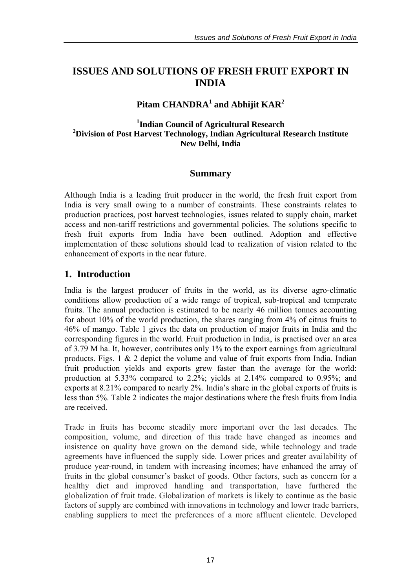# **ISSUES AND SOLUTIONS OF FRESH FRUIT EXPORT IN INDIA**

# **Pitam CHANDRA<sup>1</sup> and Abhijit KAR<sup>2</sup>**

### **1 Indian Council of Agricultural Research 2 Division of Post Harvest Technology, Indian Agricultural Research Institute New Delhi, India**

## **Summary**

Although India is a leading fruit producer in the world, the fresh fruit export from India is very small owing to a number of constraints. These constraints relates to production practices, post harvest technologies, issues related to supply chain, market access and non-tariff restrictions and governmental policies. The solutions specific to fresh fruit exports from India have been outlined. Adoption and effective implementation of these solutions should lead to realization of vision related to the enhancement of exports in the near future.

## **1. Introduction**

India is the largest producer of fruits in the world, as its diverse agro-climatic conditions allow production of a wide range of tropical, sub-tropical and temperate fruits. The annual production is estimated to be nearly 46 million tonnes accounting for about 10% of the world production, the shares ranging from 4% of citrus fruits to 46% of mango. Table 1 gives the data on production of major fruits in India and the corresponding figures in the world. Fruit production in India, is practised over an area of 3.79 M ha. It, however, contributes only 1% to the export earnings from agricultural products. Figs. 1  $\&$  2 depict the volume and value of fruit exports from India. Indian fruit production yields and exports grew faster than the average for the world: production at 5.33% compared to 2.2%; yields at 2.14% compared to 0.95%; and exports at 8.21% compared to nearly 2%. India's share in the global exports of fruits is less than 5%. Table 2 indicates the major destinations where the fresh fruits from India are received.

Trade in fruits has become steadily more important over the last decades. The composition, volume, and direction of this trade have changed as incomes and insistence on quality have grown on the demand side, while technology and trade agreements have influenced the supply side. Lower prices and greater availability of produce year-round, in tandem with increasing incomes; have enhanced the array of fruits in the global consumer's basket of goods. Other factors, such as concern for a healthy diet and improved handling and transportation, have furthered the globalization of fruit trade. Globalization of markets is likely to continue as the basic factors of supply are combined with innovations in technology and lower trade barriers, enabling suppliers to meet the preferences of a more affluent clientele. Developed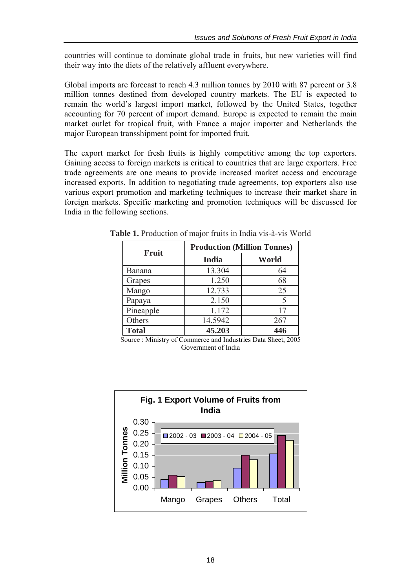countries will continue to dominate global trade in fruits, but new varieties will find their way into the diets of the relatively affluent everywhere.

Global imports are forecast to reach 4.3 million tonnes by 2010 with 87 percent or 3.8 million tonnes destined from developed country markets. The EU is expected to remain the world's largest import market, followed by the United States, together accounting for 70 percent of import demand. Europe is expected to remain the main market outlet for tropical fruit, with France a major importer and Netherlands the major European transshipment point for imported fruit.

The export market for fresh fruits is highly competitive among the top exporters. Gaining access to foreign markets is critical to countries that are large exporters. Free trade agreements are one means to provide increased market access and encourage increased exports. In addition to negotiating trade agreements, top exporters also use various export promotion and marketing techniques to increase their market share in foreign markets. Specific marketing and promotion techniques will be discussed for India in the following sections.

|               | <b>Production (Million Tonnes)</b> |       |  |  |  |
|---------------|------------------------------------|-------|--|--|--|
| Fruit         | <b>India</b>                       | World |  |  |  |
| <b>Banana</b> | 13.304                             | 64    |  |  |  |
| Grapes        | 1.250                              | 68    |  |  |  |
| Mango         | 12.733                             | 25    |  |  |  |
| Papaya        | 2.150                              |       |  |  |  |
| Pineapple     | 1.172                              | 17    |  |  |  |
| Others        | 14.5942                            | 267   |  |  |  |
| <b>Total</b>  | 45.203                             | 446   |  |  |  |

**Table 1.** Production of major fruits in India vis-à-vis World

Source : Ministry of Commerce and Industries Data Sheet, 2005 Government of India

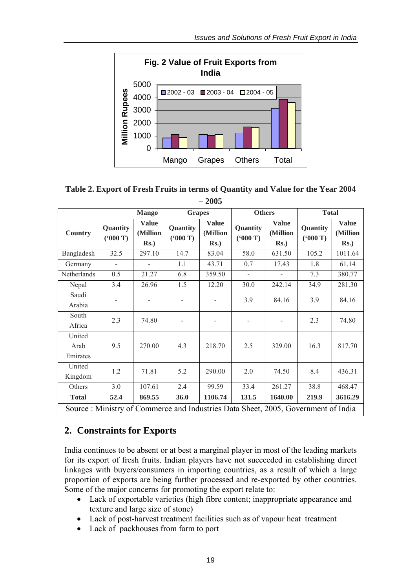

## **Table 2. Export of Fresh Fruits in terms of Quantity and Value for the Year 2004 – 2005**

|                                                                                   |                          | <b>Mango</b>                        | <b>Grapes</b>       |                                     | <b>Others</b>            |                                     | <b>Total</b>        |                                     |  |
|-----------------------------------------------------------------------------------|--------------------------|-------------------------------------|---------------------|-------------------------------------|--------------------------|-------------------------------------|---------------------|-------------------------------------|--|
| <b>Country</b>                                                                    | Quantity<br>(5000)       | <b>Value</b><br>(Million<br>$Rs.$ ) | Quantity<br>(600 T) | <b>Value</b><br>(Million<br>$Rs.$ ) | Quantity<br>(600 T)      | <b>Value</b><br>(Million<br>$Rs.$ ) | Quantity<br>(600 T) | <b>Value</b><br>(Million<br>$Rs.$ ) |  |
| Bangladesh                                                                        | 32.5                     | 297.10                              | 14.7                | 83.04                               | 58.0                     | 631.50                              | 105.2               | 1011.64                             |  |
| Germany                                                                           | $\overline{\phantom{0}}$ |                                     | 1.1                 | 43.71                               | 0.7                      | 17.43                               | 1.8                 | 61.14                               |  |
| Netherlands                                                                       | 0.5                      | 21.27                               | 6.8                 | 359.50                              | $\overline{a}$           |                                     | 7.3                 | 380.77                              |  |
| Nepal                                                                             | 3.4                      | 26.96                               | 1.5                 | 12.20                               | 30.0                     | 242.14                              | 34.9                | 281.30                              |  |
| Saudi<br>Arabia                                                                   |                          |                                     |                     |                                     | 3.9                      | 84.16                               | 3.9                 | 84.16                               |  |
| South<br>Africa                                                                   | 2.3                      | 74.80                               | -                   | $\overline{\phantom{a}}$            | $\overline{\phantom{a}}$ |                                     | 2.3                 | 74.80                               |  |
| United<br>Arab<br>Emirates                                                        | 9.5                      | 270.00                              | 4.3                 | 218.70                              | 2.5                      | 329.00                              | 16.3                | 817.70                              |  |
| United<br>Kingdom                                                                 | 1.2                      | 71.81                               | 5.2                 | 290.00                              | 2.0                      | 74.50                               | 8.4                 | 436.31                              |  |
| Others                                                                            | 3.0                      | 107.61                              | 2.4                 | 99.59                               | 33.4                     | 261.27                              | 38.8                | 468.47                              |  |
| <b>Total</b>                                                                      | 52.4                     | 869.55                              | 36.0                | 1106.74                             | 131.5                    | 1640.00                             | 219.9               | 3616.29                             |  |
| Source: Ministry of Commerce and Industries Data Sheet, 2005, Government of India |                          |                                     |                     |                                     |                          |                                     |                     |                                     |  |

# **2. Constraints for Exports**

India continues to be absent or at best a marginal player in most of the leading markets for its export of fresh fruits. Indian players have not succeeded in establishing direct linkages with buyers/consumers in importing countries, as a result of which a large proportion of exports are being further processed and re-exported by other countries. Some of the major concerns for promoting the export relate to:

- Lack of exportable varieties (high fibre content; inappropriate appearance and texture and large size of stone)
- Lack of post-harvest treatment facilities such as of vapour heat treatment
- Lack of packhouses from farm to port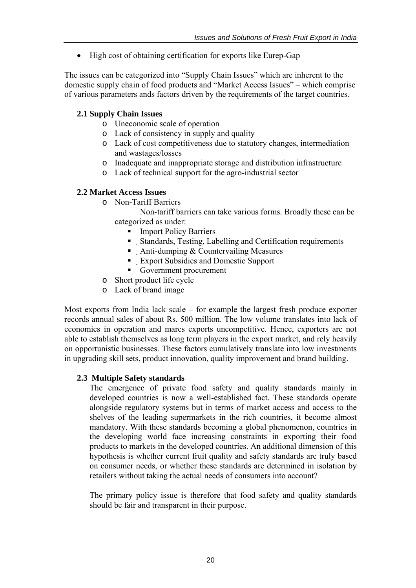• High cost of obtaining certification for exports like Eurep-Gap

The issues can be categorized into "Supply Chain Issues" which are inherent to the domestic supply chain of food products and "Market Access Issues" – which comprise of various parameters ands factors driven by the requirements of the target countries.

### **2.1 Supply Chain Issues**

- o Uneconomic scale of operation
- o Lack of consistency in supply and quality
- o Lack of cost competitiveness due to statutory changes, intermediation and wastages/losses
- o Inadequate and inappropriate storage and distribution infrastructure
- o Lack of technical support for the agro-industrial sector

#### **2.2 Market Access Issues**

o Non-Tariff Barriers

Non-tariff barriers can take various forms. Broadly these can be categorized as under:

- Import Policy Barriers
- Standards, Testing, Labelling and Certification requirements
- Anti-dumping  $&$  Countervailing Measures
- Export Subsidies and Domestic Support
- Government procurement
- o Short product life cycle
- o Lack of brand image

Most exports from India lack scale – for example the largest fresh produce exporter records annual sales of about Rs. 500 million. The low volume translates into lack of economics in operation and mares exports uncompetitive. Hence, exporters are not able to establish themselves as long term players in the export market, and rely heavily on opportunistic businesses. These factors cumulatively translate into low investments in upgrading skill sets, product innovation, quality improvement and brand building.

#### **2.3 Multiple Safety standards**

The emergence of private food safety and quality standards mainly in developed countries is now a well-established fact. These standards operate alongside regulatory systems but in terms of market access and access to the shelves of the leading supermarkets in the rich countries, it become almost mandatory. With these standards becoming a global phenomenon, countries in the developing world face increasing constraints in exporting their food products to markets in the developed countries. An additional dimension of this hypothesis is whether current fruit quality and safety standards are truly based on consumer needs, or whether these standards are determined in isolation by retailers without taking the actual needs of consumers into account?

The primary policy issue is therefore that food safety and quality standards should be fair and transparent in their purpose.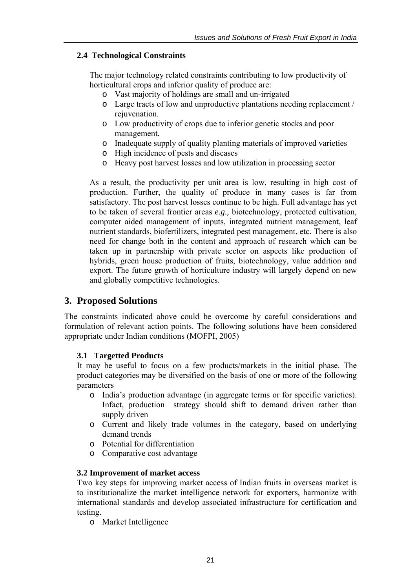### **2.4 Technological Constraints**

The major technology related constraints contributing to low productivity of horticultural crops and inferior quality of produce are:

- o Vast majority of holdings are small and un-irrigated
- o Large tracts of low and unproductive plantations needing replacement / rejuvenation.
- o Low productivity of crops due to inferior genetic stocks and poor management.
- o Inadequate supply of quality planting materials of improved varieties
- o High incidence of pests and diseases
- o Heavy post harvest losses and low utilization in processing sector

As a result, the productivity per unit area is low, resulting in high cost of production. Further, the quality of produce in many cases is far from satisfactory. The post harvest losses continue to be high. Full advantage has yet to be taken of several frontier areas *e.g.,* biotechnology, protected cultivation, computer aided management of inputs, integrated nutrient management, leaf nutrient standards, biofertilizers, integrated pest management, etc. There is also need for change both in the content and approach of research which can be taken up in partnership with private sector on aspects like production of hybrids, green house production of fruits, biotechnology, value addition and export. The future growth of horticulture industry will largely depend on new and globally competitive technologies.

## **3. Proposed Solutions**

The constraints indicated above could be overcome by careful considerations and formulation of relevant action points. The following solutions have been considered appropriate under Indian conditions (MOFPI, 2005)

#### **3.1 Targetted Products**

It may be useful to focus on a few products/markets in the initial phase. The product categories may be diversified on the basis of one or more of the following parameters

- o India's production advantage (in aggregate terms or for specific varieties). Infact, production strategy should shift to demand driven rather than supply driven
- o Current and likely trade volumes in the category, based on underlying demand trends
- o Potential for differentiation
- o Comparative cost advantage

#### **3.2 Improvement of market access**

Two key steps for improving market access of Indian fruits in overseas market is to institutionalize the market intelligence network for exporters, harmonize with international standards and develop associated infrastructure for certification and testing.

o Market Intelligence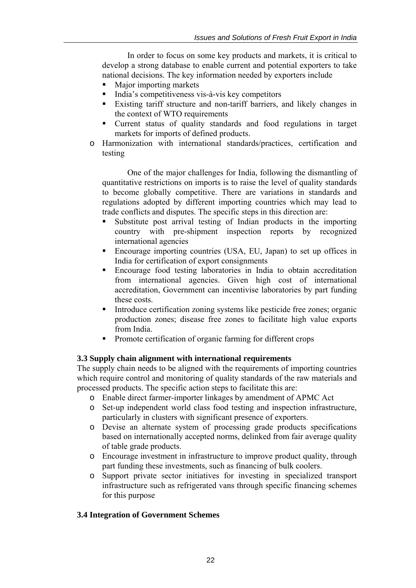In order to focus on some key products and markets, it is critical to develop a strong database to enable current and potential exporters to take national decisions. The key information needed by exporters include

- Major importing markets
- India's competitiveness vis-à-vis key competitors
- Existing tariff structure and non-tariff barriers, and likely changes in the context of WTO requirements
- Current status of quality standards and food regulations in target markets for imports of defined products.
- o Harmonization with international standards/practices, certification and testing

One of the major challenges for India, following the dismantling of quantitative restrictions on imports is to raise the level of quality standards to become globally competitive. There are variations in standards and regulations adopted by different importing countries which may lead to trade conflicts and disputes. The specific steps in this direction are:

- Substitute post arrival testing of Indian products in the importing country with pre-shipment inspection reports by recognized international agencies
- Encourage importing countries (USA, EU, Japan) to set up offices in India for certification of export consignments
- Encourage food testing laboratories in India to obtain accreditation from international agencies. Given high cost of international accreditation, Government can incentivise laboratories by part funding these costs.
- Introduce certification zoning systems like pesticide free zones; organic production zones; disease free zones to facilitate high value exports from India.
- Promote certification of organic farming for different crops

#### **3.3 Supply chain alignment with international requirements**

The supply chain needs to be aligned with the requirements of importing countries which require control and monitoring of quality standards of the raw materials and processed products. The specific action steps to facilitate this are:

- o Enable direct farmer-importer linkages by amendment of APMC Act
- o Set-up independent world class food testing and inspection infrastructure, particularly in clusters with significant presence of exporters.
- o Devise an alternate system of processing grade products specifications based on internationally accepted norms, delinked from fair average quality of table grade products.
- o Encourage investment in infrastructure to improve product quality, through part funding these investments, such as financing of bulk coolers.
- o Support private sector initiatives for investing in specialized transport infrastructure such as refrigerated vans through specific financing schemes for this purpose

#### **3.4 Integration of Government Schemes**